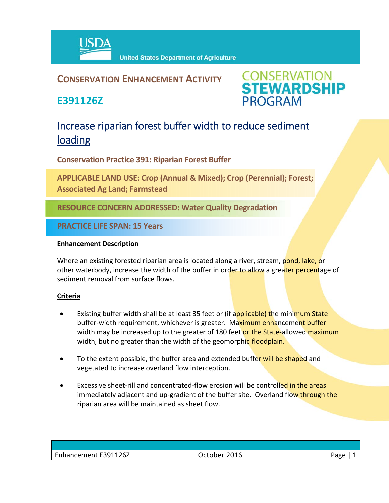

### **CONSERVATION ENHANCEMENT ACTIVITY**

**E391126Z**



## Increase riparian forest buffer width to reduce sediment loading

**Conservation Practice 391: Riparian Forest Buffer**

**APPLICABLE LAND USE: Crop (Annual & Mixed); Crop (Perennial); Forest; Associated Ag Land; Farmstead**

**RESOURCE CONCERN ADDRESSED: Water Quality Degradation**

**PRACTICE LIFE SPAN: 15 Years**

#### **Enhancement Description**

Where an existing forested riparian area is located along a river, stream, pond, lake, or other waterbody, increase the width of the buffer in order to allow a greater percentage of sediment removal from surface flows.

#### **Criteria**

- Existing buffer width shall be at least 35 feet or (if applicable) the minimum State buffer-width requirement, whichever is greater. Maximum enhancement buffer width may be increased up to the greater of 180 feet or the State-allowed maximum width, but no greater than the width of the geomorphic floodplain.
- To the extent possible, the buffer area and extended buffer will be shaped and vegetated to increase overland flow interception.
- Excessive sheet-rill and concentrated-flow erosion will be controlled in the areas immediately adjacent and up-gradient of the buffer site. Overland flow through the riparian area will be maintained as sheet flow.

| Enhancement E391126Z | 2016<br>October | Page |
|----------------------|-----------------|------|
|                      |                 |      |